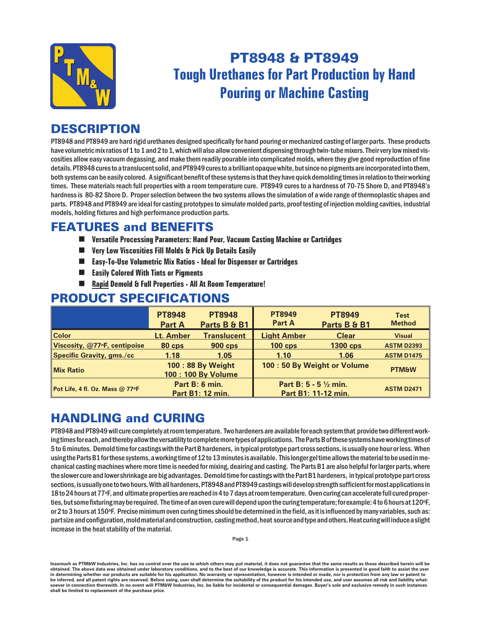

# PT8948 & PT8949 **Tough Urethanes for Part Production by Hand Pouring or Machine Casting**

## **DESCRIPTION**

PT8948 and PT8949 are hard rigid urethanes designed specifically for hand pouring or mechanized casting of larger parts. These products have volumetric mix ratios of 1 to 1 and 2 to 1, which will also allow convenient dispensing through twin-tube mixers. Their very low mixed viscosities allow easy vacuum degassing, and make them readily pourable into complicated molds, where they give good reproduction of fine details. PT8948 cures to a translucent solid, and PT8949 cures to a brilliant opaque white, but since no pigments are incorporated into them, both systems can be easily colored. A significant benefit of these systems is that they have quick demolding times in relation to their working times. These materials reach full properties with a room temperature cure. PT8949 cures to a hardness of 70-75 Shore D, and PT8948's hard ness is 80-82 Shore D. Proper selection between the two systems allows the simulation of a wide range of ther moplastic shapes and parts. PT8948 and PT8949 are ideal for casting prototypes to simulate molded parts, proof testing of injection molding cavities, industrial models, holding fixtures and high performance production parts.

#### **FEATURES and BENEFITS**

- **n Versatile Processing Parameters: Hand Pour, Vacuum Casting Machine or Cartridges**
- **n Very Low Viscosities Fill Molds & Pick Up Details Easily**
- Easy-To-Use Volumetric Mix Ratios Ideal for Dispenser or Cartridges
- Easily Colored With Tints or Pigments
- Rapid Demold & Full Properties All At Room Temperature!

#### **PRODUCT SPECIFICATIONS**

|                                  | <b>PT8948</b><br><b>Part A</b>         | <b>PT8948</b><br>Parts B & B1 | <b>PT8949</b><br>Part A                              | <b>PT8949</b><br>Parts B & B1 | <b>Test</b><br><b>Method</b> |
|----------------------------------|----------------------------------------|-------------------------------|------------------------------------------------------|-------------------------------|------------------------------|
| <b>Color</b>                     | Lt. Amber                              | <b>Translucent</b>            | <b>Light Amber</b>                                   | <b>Clear</b>                  | <b>Visual</b>                |
| Viscosity, @77 F, centipoise     | 80 cps                                 | <b>900 cps</b>                | $100$ cps                                            | <b>1300 cps</b>               | <b>ASTM D2393</b>            |
| <b>Specific Gravity, gms./cc</b> | 1.18                                   | 1.05                          | 1.10                                                 | 1.06                          | <b>ASTM D1475</b>            |
| <b>Mix Ratio</b>                 | 100:88 By Weight<br>100: 100 By Volume |                               | 100 : 50 By Weight or Volume                         |                               | <b>PTM&amp;W</b>             |
| Pot Life, 4 fl. Oz. Mass @ 77°F  | Part B: 6 min.<br>Part B1: 12 min.     |                               | <b>Part B: 5 - 5 1/2 min.</b><br>Part B1: 11-12 min. |                               | <b>ASTM D2471</b>            |

## **HANDLING and CURING**

PT8948 and PT8949 will cure completely at room temperature. Two hardeners are available for each system that provide two different working times for each, and thereby allow the versatility to complete more types of applications. The Parts B of these systems have working times of 5 to 6 minutes. Demold time for castings with the Part B hardeners, in typical prototype part cross sections, is usually one hour or less. When using the Parts B1 for these systems, a working time of 12 to 13 minutes is available. This longer gel time allows the material to be used in mechanical casting machines where more time is needed for mixing, deairing and casting. The Parts B1 are also helpful for larger parts, where the slower cure and lower shrinkage are big advantages. Demold time for castings with the Part B1 hardeners, in typical prototype part cross sections, is usually one to two hours. With all hardeners, PT8948 and PT8949 castings will develop strength sufficient for most applications in 18 to 24 hours at 77°F, and ultimate properties are reached in 4 to 7 days at room temperature. Oven curing can accelerate full cured properties, but some fixturing may be required. The time of an oven cure will depend upon the curing temperature; for example: 4 to 6 hours at 120°F, or 2 to 3 hours at 150°F. Precise minimum oven curing times should be determined in the field, as it is influenced by many variables, such as: part size and configuration, mold material and construction, casting method, heat source and type and others. Heat curing will induce a slight increase in the heat stability of the material.

Inasmuch as PTM&W Industries, Inc. has no control over the use to which others may put material, it does not guarantee that the same results as those described herein will be obtained. The above data was obtained under laboratory conditions, and to the best of our knowledge is accurate. This information is presented in good faith to assist the user in determining whether our products are suitable for his application. No warranty or representation, however is intended or made, nor is protection from any law or patent to be inferred, and all patent rights are reserved. Before using, user shall determine the suitability of the product for his intended use, and user assumes all risk and liability whatsoever in connection therewith. In no event will PTM&W Industries, Inc. be liable for incidental or consequential damages. Buyer's sole and exclusive remedy in such instances shall be limited to replacement of the purchase price.